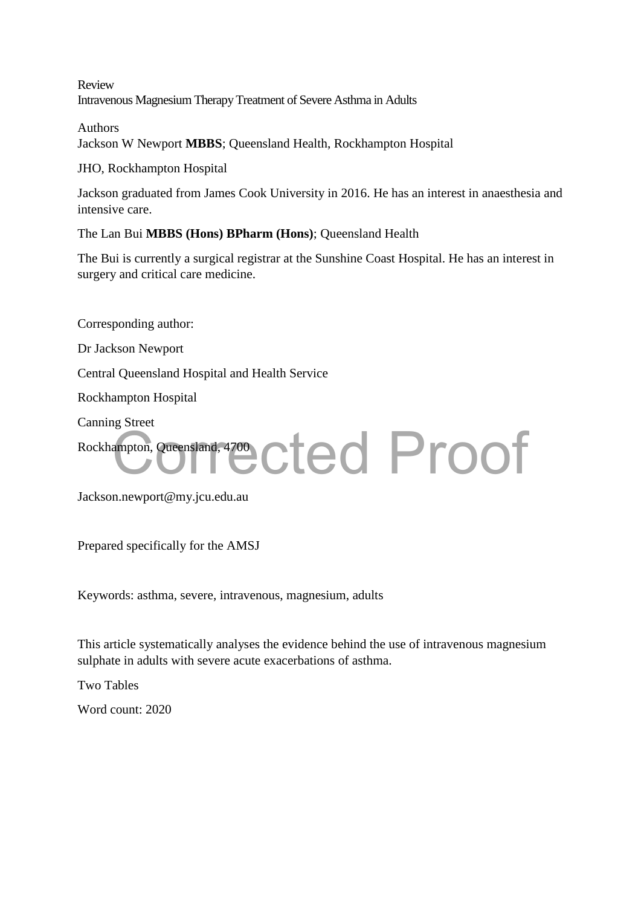Review Intravenous Magnesium Therapy Treatment of Severe Asthma in Adults

Authors Jackson W Newport **MBBS**; Queensland Health, Rockhampton Hospital

JHO, Rockhampton Hospital

Jackson graduated from James Cook University in 2016. He has an interest in anaesthesia and intensive care.

The Lan Bui **MBBS (Hons) BPharm (Hons)**; Queensland Health

The Bui is currently a surgical registrar at the Sunshine Coast Hospital. He has an interest in surgery and critical care medicine.

Corresponding author: Dr Jackson Newport Central Queensland Hospital and Health Service Rockhampton Hospital Canning Street Rockhampton, Queensland, 4700 ampton, Queensland, 4700 Cted Proof

Jackson.newport@my.jcu.edu.au

Prepared specifically for the AMSJ

Keywords: asthma, severe, intravenous, magnesium, adults

This article systematically analyses the evidence behind the use of intravenous magnesium sulphate in adults with severe acute exacerbations of asthma.

Two Tables

Word count: 2020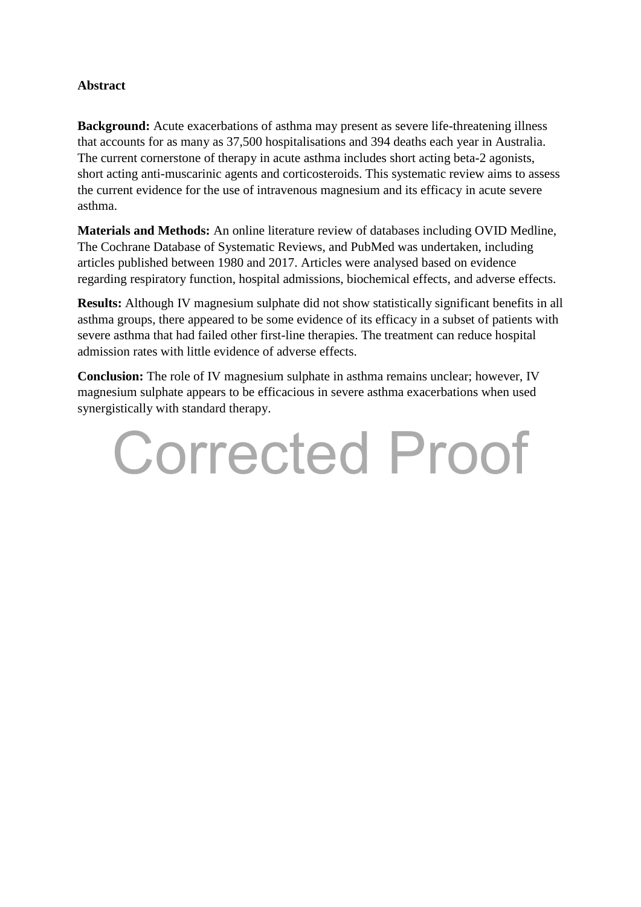### **Abstract**

**Background:** Acute exacerbations of asthma may present as severe life-threatening illness that accounts for as many as 37,500 hospitalisations and 394 deaths each year in Australia. The current cornerstone of therapy in acute asthma includes short acting beta-2 agonists, short acting anti-muscarinic agents and corticosteroids. This systematic review aims to assess the current evidence for the use of intravenous magnesium and its efficacy in acute severe asthma.

**Materials and Methods:** An online literature review of databases including OVID Medline, The Cochrane Database of Systematic Reviews, and PubMed was undertaken, including articles published between 1980 and 2017. Articles were analysed based on evidence regarding respiratory function, hospital admissions, biochemical effects, and adverse effects.

**Results:** Although IV magnesium sulphate did not show statistically significant benefits in all asthma groups, there appeared to be some evidence of its efficacy in a subset of patients with severe asthma that had failed other first-line therapies. The treatment can reduce hospital admission rates with little evidence of adverse effects.

**Conclusion:** The role of IV magnesium sulphate in asthma remains unclear; however, IV magnesium sulphate appears to be efficacious in severe asthma exacerbations when used synergistically with standard therapy.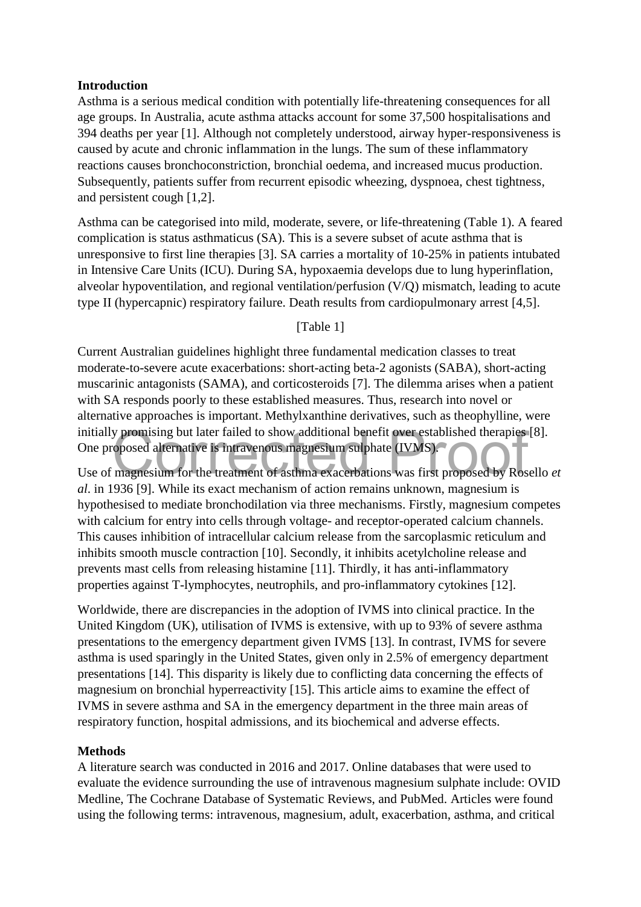### **Introduction**

Asthma is a serious medical condition with potentially life-threatening consequences for all age groups. In Australia, acute asthma attacks account for some 37,500 hospitalisations and 394 deaths per year [1]. Although not completely understood, airway hyper-responsiveness is caused by acute and chronic inflammation in the lungs. The sum of these inflammatory reactions causes bronchoconstriction, bronchial oedema, and increased mucus production. Subsequently, patients suffer from recurrent episodic wheezing, dyspnoea, chest tightness, and persistent cough [1,2].

Asthma can be categorised into mild, moderate, severe, or life-threatening (Table 1). A feared complication is status asthmaticus (SA). This is a severe subset of acute asthma that is unresponsive to first line therapies [3]. SA carries a mortality of 10-25% in patients intubated in Intensive Care Units (ICU). During SA, hypoxaemia develops due to lung hyperinflation, alveolar hypoventilation, and regional ventilation/perfusion (V/Q) mismatch, leading to acute type II (hypercapnic) respiratory failure. Death results from cardiopulmonary arrest [4,5].

### [Table 1]

Current Australian guidelines highlight three fundamental medication classes to treat moderate-to-severe acute exacerbations: short-acting beta-2 agonists (SABA), short-acting muscarinic antagonists (SAMA), and corticosteroids [7]. The dilemma arises when a patient with SA responds poorly to these established measures. Thus, research into novel or alternative approaches is important. Methylxanthine derivatives, such as theophylline, were initially promising but later failed to show additional benefit over established therapies [8]. One proposed alternative is intravenous magnesium sulphate (IVMS). Initially promising but later failed to show additional benefit over established therapies [8].<br>
One proposed alternative is intravenous magnesium sulphate (IVMS).<br>
Use of magnesium for the treatment of asthma exacerbation

*al*. in 1936 [9]. While its exact mechanism of action remains unknown, magnesium is hypothesised to mediate bronchodilation via three mechanisms. Firstly, magnesium competes with calcium for entry into cells through voltage- and receptor-operated calcium channels. This causes inhibition of intracellular calcium release from the sarcoplasmic reticulum and inhibits smooth muscle contraction [10]. Secondly, it inhibits acetylcholine release and prevents mast cells from releasing histamine [11]. Thirdly, it has anti-inflammatory properties against T-lymphocytes, neutrophils, and pro-inflammatory cytokines [12].

Worldwide, there are discrepancies in the adoption of IVMS into clinical practice. In the United Kingdom (UK), utilisation of IVMS is extensive, with up to 93% of severe asthma presentations to the emergency department given IVMS [13]. In contrast, IVMS for severe asthma is used sparingly in the United States, given only in 2.5% of emergency department presentations [14]. This disparity is likely due to conflicting data concerning the effects of magnesium on bronchial hyperreactivity [15]. This article aims to examine the effect of IVMS in severe asthma and SA in the emergency department in the three main areas of respiratory function, hospital admissions, and its biochemical and adverse effects.

### **Methods**

A literature search was conducted in 2016 and 2017. Online databases that were used to evaluate the evidence surrounding the use of intravenous magnesium sulphate include: OVID Medline, The Cochrane Database of Systematic Reviews, and PubMed. Articles were found using the following terms: intravenous, magnesium, adult, exacerbation, asthma, and critical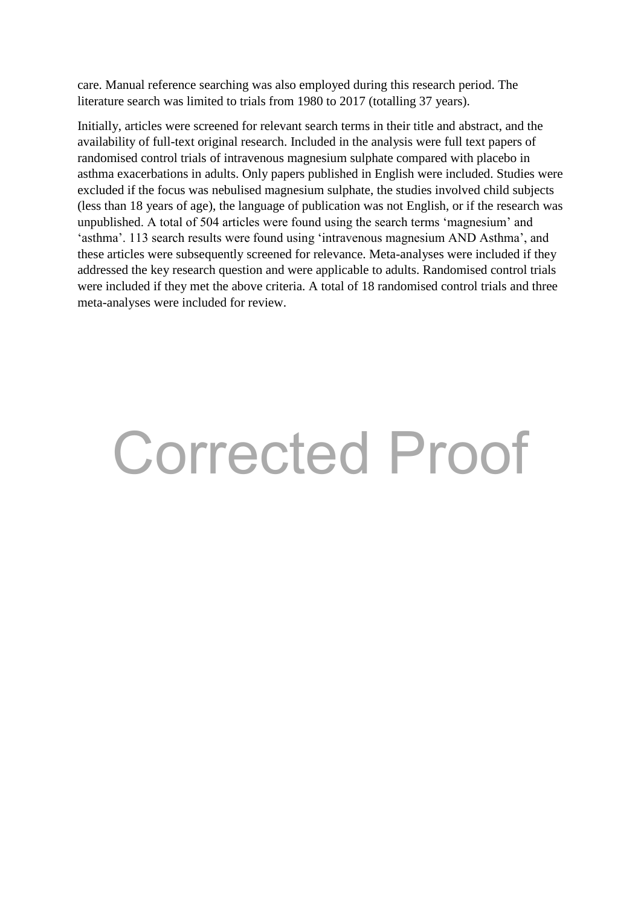care. Manual reference searching was also employed during this research period. The literature search was limited to trials from 1980 to 2017 (totalling 37 years).

Initially, articles were screened for relevant search terms in their title and abstract, and the availability of full-text original research. Included in the analysis were full text papers of randomised control trials of intravenous magnesium sulphate compared with placebo in asthma exacerbations in adults. Only papers published in English were included. Studies were excluded if the focus was nebulised magnesium sulphate, the studies involved child subjects (less than 18 years of age), the language of publication was not English, or if the research was unpublished. A total of 504 articles were found using the search terms 'magnesium' and 'asthma'. 113 search results were found using 'intravenous magnesium AND Asthma', and these articles were subsequently screened for relevance. Meta-analyses were included if they addressed the key research question and were applicable to adults. Randomised control trials were included if they met the above criteria. A total of 18 randomised control trials and three meta-analyses were included for review.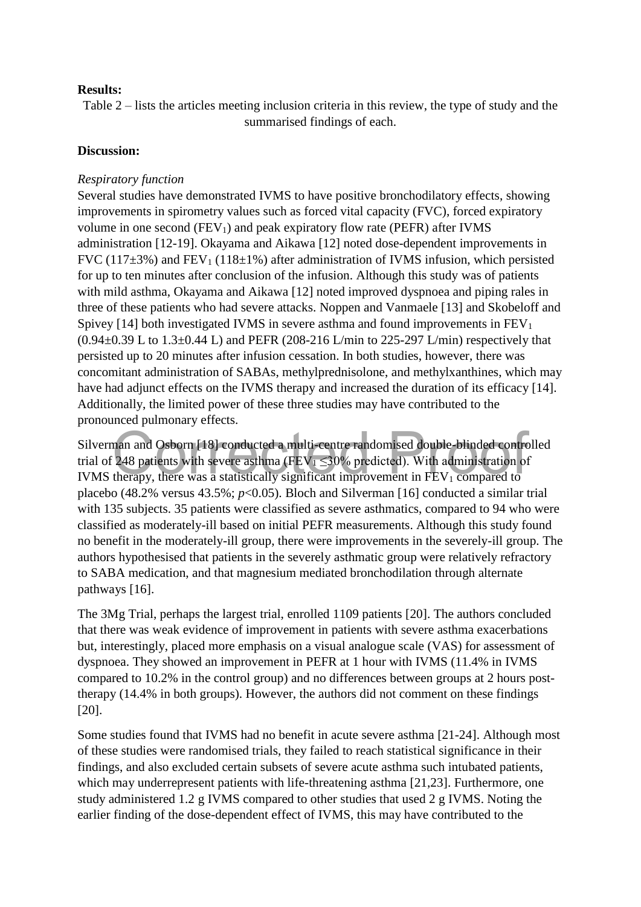### **Results:**

Table 2 – lists the articles meeting inclusion criteria in this review, the type of study and the summarised findings of each.

### **Discussion:**

### *Respiratory function*

Several studies have demonstrated IVMS to have positive bronchodilatory effects, showing improvements in spirometry values such as forced vital capacity (FVC), forced expiratory volume in one second  $(FEV_1)$  and peak expiratory flow rate (PEFR) after IVMS administration [12-19]. Okayama and Aikawa [12] noted dose-dependent improvements in FVC (117 $\pm$ 3%) and FEV<sub>1</sub> (118 $\pm$ 1%) after administration of IVMS infusion, which persisted for up to ten minutes after conclusion of the infusion. Although this study was of patients with mild asthma, Okayama and Aikawa [12] noted improved dyspnoea and piping rales in three of these patients who had severe attacks. Noppen and Vanmaele [13] and Skobeloff and Spivey [14] both investigated IVMS in severe asthma and found improvements in  $FEV<sub>1</sub>$  $(0.94\pm0.39 \text{ L to } 1.3\pm0.44 \text{ L})$  and PEFR (208-216 L/min to 225-297 L/min) respectively that persisted up to 20 minutes after infusion cessation. In both studies, however, there was concomitant administration of SABAs, methylprednisolone, and methylxanthines, which may have had adjunct effects on the IVMS therapy and increased the duration of its efficacy [14]. Additionally, the limited power of these three studies may have contributed to the pronounced pulmonary effects.

Silverman and Osborn [18] conducted a multi-centre randomised double-blinded controlled trial of 248 patients with severe asthma (FEV $_1 \leq 30\%$  predicted). With administration of IVMS therapy, there was a statistically significant improvement in  $FEV<sub>1</sub>$  compared to placebo (48.2% versus 43.5%; *p*<0.05). Bloch and Silverman [16] conducted a similar trial with 135 subjects. 35 patients were classified as severe asthmatics, compared to 94 who were classified as moderately-ill based on initial PEFR measurements. Although this study found no benefit in the moderately-ill group, there were improvements in the severely-ill group. The authors hypothesised that patients in the severely asthmatic group were relatively refractory to SABA medication, and that magnesium mediated bronchodilation through alternate pathways [16]. man and Osborn [18] conducted a multi-centre randomised double-blinded contre<br>
248 patients with severe asthma (FEV<sub>1</sub>  $\leq$ 30% predicted). With administration of<br>
therapy, there was a statistically significant improvemen

The 3Mg Trial, perhaps the largest trial, enrolled 1109 patients [20]. The authors concluded that there was weak evidence of improvement in patients with severe asthma exacerbations but, interestingly, placed more emphasis on a visual analogue scale (VAS) for assessment of dyspnoea. They showed an improvement in PEFR at 1 hour with IVMS (11.4% in IVMS compared to 10.2% in the control group) and no differences between groups at 2 hours posttherapy (14.4% in both groups). However, the authors did not comment on these findings [20].

Some studies found that IVMS had no benefit in acute severe asthma [21-24]. Although most of these studies were randomised trials, they failed to reach statistical significance in their findings, and also excluded certain subsets of severe acute asthma such intubated patients, which may underrepresent patients with life-threatening asthma [21,23]. Furthermore, one study administered 1.2 g IVMS compared to other studies that used 2 g IVMS. Noting the earlier finding of the dose-dependent effect of IVMS, this may have contributed to the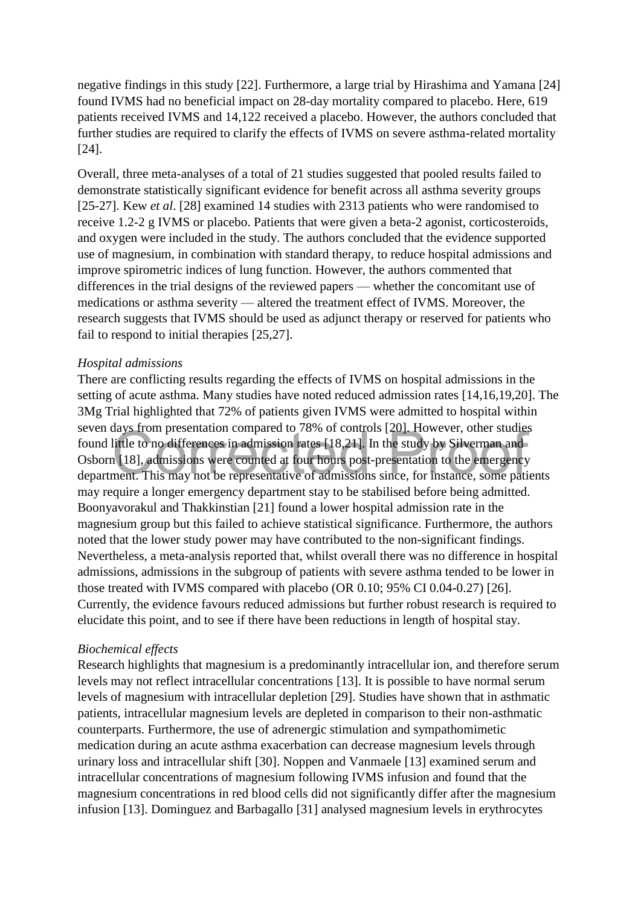negative findings in this study [22]. Furthermore, a large trial by Hirashima and Yamana [24] found IVMS had no beneficial impact on 28-day mortality compared to placebo. Here, 619 patients received IVMS and 14,122 received a placebo. However, the authors concluded that further studies are required to clarify the effects of IVMS on severe asthma-related mortality [24].

Overall, three meta-analyses of a total of 21 studies suggested that pooled results failed to demonstrate statistically significant evidence for benefit across all asthma severity groups [25-27]. Kew *et al*. [28] examined 14 studies with 2313 patients who were randomised to receive 1.2-2 g IVMS or placebo. Patients that were given a beta-2 agonist, corticosteroids, and oxygen were included in the study. The authors concluded that the evidence supported use of magnesium, in combination with standard therapy, to reduce hospital admissions and improve spirometric indices of lung function. However, the authors commented that differences in the trial designs of the reviewed papers — whether the concomitant use of medications or asthma severity — altered the treatment effect of IVMS. Moreover, the research suggests that IVMS should be used as adjunct therapy or reserved for patients who fail to respond to initial therapies [25,27].

### *Hospital admissions*

There are conflicting results regarding the effects of IVMS on hospital admissions in the setting of acute asthma. Many studies have noted reduced admission rates [14,16,19,20]. The 3Mg Trial highlighted that 72% of patients given IVMS were admitted to hospital within seven days from presentation compared to 78% of controls [20]. However, other studies found little to no differences in admission rates [18,21]. In the study by Silverman and Osborn [18], admissions were counted at four hours post-presentation to the emergency department. This may not be representative of admissions since, for instance, some patients may require a longer emergency department stay to be stabilised before being admitted. Boonyavorakul and Thakkinstian [21] found a lower hospital admission rate in the magnesium group but this failed to achieve statistical significance. Furthermore, the authors noted that the lower study power may have contributed to the non-significant findings. Nevertheless, a meta-analysis reported that, whilst overall there was no difference in hospital admissions, admissions in the subgroup of patients with severe asthma tended to be lower in those treated with IVMS compared with placebo (OR 0.10; 95% CI 0.04-0.27) [26]. Currently, the evidence favours reduced admissions but further robust research is required to elucidate this point, and to see if there have been reductions in length of hospital stay. Let to no differences in admission rates [18,21]. In the study by Silverman and little to no differences in admission rates [18,21]. In the study by Silverman and [18], admissions were counted at four hours post-presentati

### *Biochemical effects*

Research highlights that magnesium is a predominantly intracellular ion, and therefore serum levels may not reflect intracellular concentrations [13]. It is possible to have normal serum levels of magnesium with intracellular depletion [29]. Studies have shown that in asthmatic patients, intracellular magnesium levels are depleted in comparison to their non-asthmatic counterparts. Furthermore, the use of adrenergic stimulation and sympathomimetic medication during an acute asthma exacerbation can decrease magnesium levels through urinary loss and intracellular shift [30]. Noppen and Vanmaele [13] examined serum and intracellular concentrations of magnesium following IVMS infusion and found that the magnesium concentrations in red blood cells did not significantly differ after the magnesium infusion [13]. Dominguez and Barbagallo [31] analysed magnesium levels in erythrocytes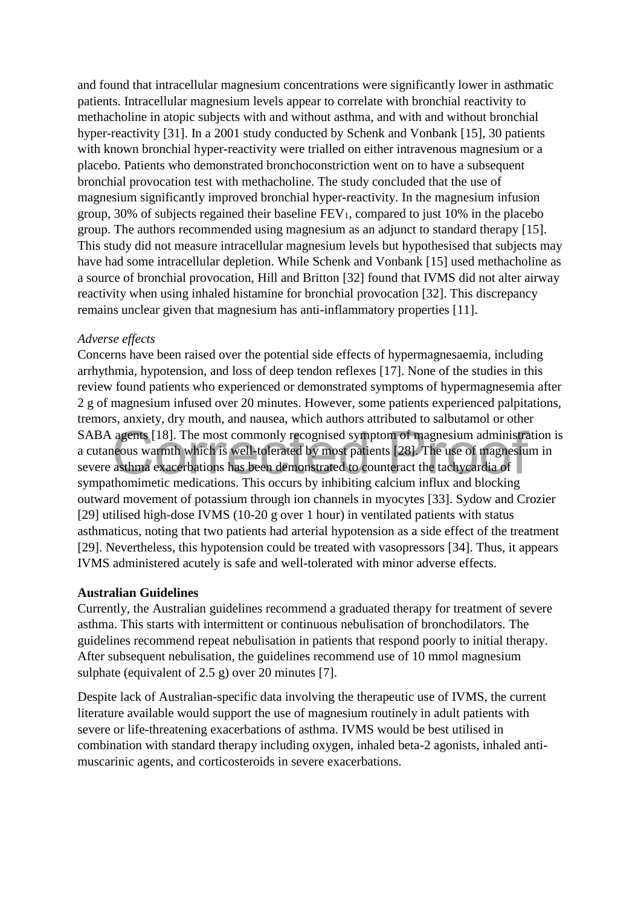and found that intracellular magnesium concentrations were significantly lower in asthmatic patients. Intracellular magnesium levels appear to correlate with bronchial reactivity to methacholine in atopic subjects with and without asthma, and with and without bronchial hyper-reactivity [31]. In a 2001 study conducted by Schenk and Vonbank [15], 30 patients with known bronchial hyper-reactivity were trialled on either intravenous magnesium or a placebo. Patients who demonstrated bronchoconstriction went on to have a subsequent bronchial provocation test with methacholine. The study concluded that the use of magnesium significantly improved bronchial hyper-reactivity. In the magnesium infusion group, 30% of subjects regained their baseline  $FEV_1$ , compared to just 10% in the placebo group. The authors recommended using magnesium as an adjunct to standard therapy [15]. This study did not measure intracellular magnesium levels but hypothesised that subjects may have had some intracellular depletion. While Schenk and Vonbank [15] used methacholine as a source of bronchial provocation, Hill and Britton [32] found that IVMS did not alter airway reactivity when using inhaled histamine for bronchial provocation [32]. This discrepancy remains unclear given that magnesium has anti-inflammatory properties [11].

### *Adverse effects*

Concerns have been raised over the potential side effects of hypermagnesaemia, including arrhythmia, hypotension, and loss of deep tendon reflexes [17]. None of the studies in this review found patients who experienced or demonstrated symptoms of hypermagnesemia after 2 g of magnesium infused over 20 minutes. However, some patients experienced palpitations, tremors, anxiety, dry mouth, and nausea, which authors attributed to salbutamol or other SABA agents [18]. The most commonly recognised symptom of magnesium administration is a cutaneous warmth which is well-tolerated by most patients [28]. The use of magnesium in severe asthma exacerbations has been demonstrated to counteract the tachycardia of sympathomimetic medications. This occurs by inhibiting calcium influx and blocking outward movement of potassium through ion channels in myocytes [33]. Sydow and Crozier [29] utilised high-dose IVMS (10-20 g over 1 hour) in ventilated patients with status asthmaticus, noting that two patients had arterial hypotension as a side effect of the treatment [29]. Nevertheless, this hypotension could be treated with vasopressors [34]. Thus, it appears IVMS administered acutely is safe and well-tolerated with minor adverse effects. agents [18]. The most commonly recognised symptom of magnesium administrate also warmth which is well-tolerated by most patients [28]. The use of magnesium as thm exacerbations has been demonstrated to counteract the tachy

### **Australian Guidelines**

Currently, the Australian guidelines recommend a graduated therapy for treatment of severe asthma. This starts with intermittent or continuous nebulisation of bronchodilators. The guidelines recommend repeat nebulisation in patients that respond poorly to initial therapy. After subsequent nebulisation, the guidelines recommend use of 10 mmol magnesium sulphate (equivalent of 2.5 g) over 20 minutes [7].

Despite lack of Australian-specific data involving the therapeutic use of IVMS, the current literature available would support the use of magnesium routinely in adult patients with severe or life-threatening exacerbations of asthma. IVMS would be best utilised in combination with standard therapy including oxygen, inhaled beta-2 agonists, inhaled antimuscarinic agents, and corticosteroids in severe exacerbations.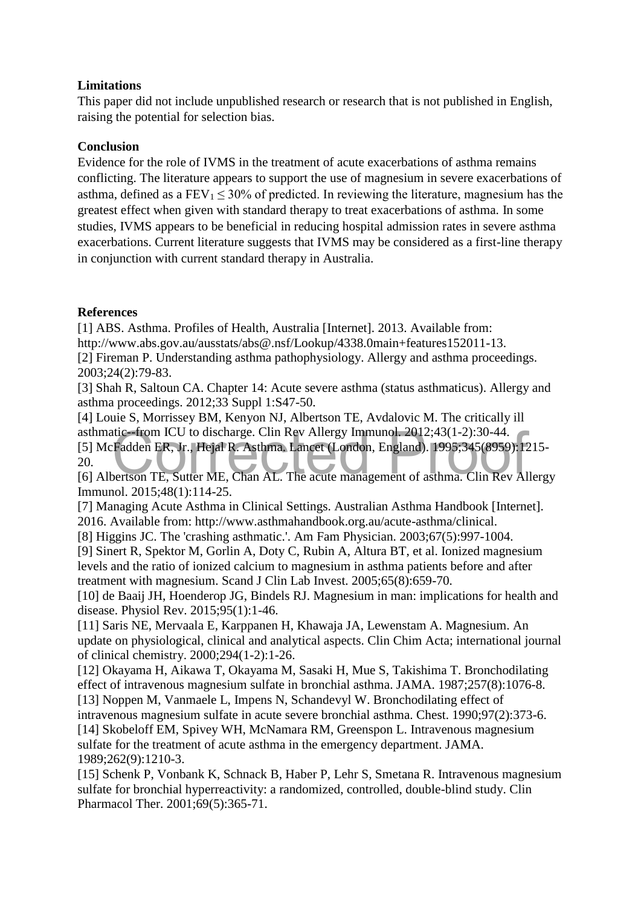### **Limitations**

This paper did not include unpublished research or research that is not published in English, raising the potential for selection bias.

### **Conclusion**

Evidence for the role of IVMS in the treatment of acute exacerbations of asthma remains conflicting. The literature appears to support the use of magnesium in severe exacerbations of asthma, defined as a  $FEV_1 < 30\%$  of predicted. In reviewing the literature, magnesium has the greatest effect when given with standard therapy to treat exacerbations of asthma. In some studies, IVMS appears to be beneficial in reducing hospital admission rates in severe asthma exacerbations. Current literature suggests that IVMS may be considered as a first-line therapy in conjunction with current standard therapy in Australia.

### **References**

[1] ABS. Asthma. Profiles of Health, Australia [Internet]. 2013. Available from: http://www.abs.gov.au/ausstats/abs@.nsf/Lookup/4338.0main+features152011-13. [2] Fireman P. Understanding asthma pathophysiology. Allergy and asthma proceedings. 2003;24(2):79-83.

[3] Shah R, Saltoun CA. Chapter 14: Acute severe asthma (status asthmaticus). Allergy and asthma proceedings. 2012;33 Suppl 1:S47-50.

[4] Louie S, Morrissey BM, Kenyon NJ, Albertson TE, Avdalovic M. The critically ill asthmatic--from ICU to discharge. Clin Rev Allergy Immunol. 2012;43(1-2):30-44. [5] McFadden ER, Jr., Hejal R. Asthma. Lancet (London, England). 1995;345(8959):1215- 20. asthmatic-from ICU to discharge. Clin Rev Allergy Immunol. 2012;43(1-2):30-44.<br>
[5] McFadden ER, Jr., Hejal R. Asthma. Lancet (London, England). 1995;345(8959): 1215-<br>
20.<br>
[6] Albertson TE, Sutter ME, Chan AL. The acute m

Immunol. 2015;48(1):114-25.

[7] Managing Acute Asthma in Clinical Settings. Australian Asthma Handbook [Internet]. 2016. Available from: http://www.asthmahandbook.org.au/acute-asthma/clinical.

[8] Higgins JC. The 'crashing asthmatic.'. Am Fam Physician. 2003;67(5):997-1004.

[9] Sinert R, Spektor M, Gorlin A, Doty C, Rubin A, Altura BT, et al. Ionized magnesium levels and the ratio of ionized calcium to magnesium in asthma patients before and after treatment with magnesium. Scand J Clin Lab Invest. 2005;65(8):659-70.

[10] de Baaij JH, Hoenderop JG, Bindels RJ. Magnesium in man: implications for health and disease. Physiol Rev. 2015;95(1):1-46.

[11] Saris NE, Mervaala E, Karppanen H, Khawaja JA, Lewenstam A. Magnesium. An update on physiological, clinical and analytical aspects. Clin Chim Acta; international journal of clinical chemistry. 2000;294(1-2):1-26.

[12] Okayama H, Aikawa T, Okayama M, Sasaki H, Mue S, Takishima T. Bronchodilating effect of intravenous magnesium sulfate in bronchial asthma. JAMA. 1987;257(8):1076-8. [13] Noppen M, Vanmaele L, Impens N, Schandevyl W. Bronchodilating effect of

intravenous magnesium sulfate in acute severe bronchial asthma. Chest. 1990;97(2):373-6. [14] Skobeloff EM, Spivey WH, McNamara RM, Greenspon L. Intravenous magnesium sulfate for the treatment of acute asthma in the emergency department. JAMA. 1989;262(9):1210-3.

[15] Schenk P, Vonbank K, Schnack B, Haber P, Lehr S, Smetana R. Intravenous magnesium sulfate for bronchial hyperreactivity: a randomized, controlled, double-blind study. Clin Pharmacol Ther. 2001;69(5):365-71.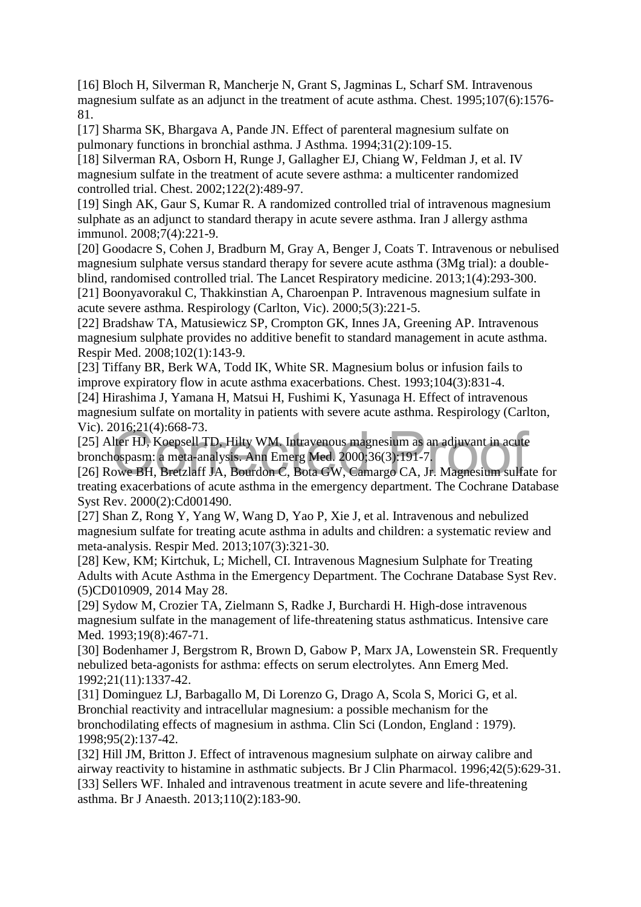[16] Bloch H, Silverman R, Mancherje N, Grant S, Jagminas L, Scharf SM. Intravenous magnesium sulfate as an adjunct in the treatment of acute asthma. Chest. 1995;107(6):1576- 81.

[17] Sharma SK, Bhargava A, Pande JN. Effect of parenteral magnesium sulfate on pulmonary functions in bronchial asthma. J Asthma. 1994;31(2):109-15.

[18] Silverman RA, Osborn H, Runge J, Gallagher EJ, Chiang W, Feldman J, et al. IV magnesium sulfate in the treatment of acute severe asthma: a multicenter randomized controlled trial. Chest. 2002;122(2):489-97.

[19] Singh AK, Gaur S, Kumar R. A randomized controlled trial of intravenous magnesium sulphate as an adjunct to standard therapy in acute severe asthma. Iran J allergy asthma immunol. 2008;7(4):221-9.

[20] Goodacre S, Cohen J, Bradburn M, Gray A, Benger J, Coats T. Intravenous or nebulised magnesium sulphate versus standard therapy for severe acute asthma (3Mg trial): a doubleblind, randomised controlled trial. The Lancet Respiratory medicine. 2013;1(4):293-300.

[21] Boonyavorakul C, Thakkinstian A, Charoenpan P. Intravenous magnesium sulfate in acute severe asthma. Respirology (Carlton, Vic). 2000;5(3):221-5.

[22] Bradshaw TA, Matusiewicz SP, Crompton GK, Innes JA, Greening AP. Intravenous magnesium sulphate provides no additive benefit to standard management in acute asthma. Respir Med. 2008;102(1):143-9.

[23] Tiffany BR, Berk WA, Todd IK, White SR. Magnesium bolus or infusion fails to improve expiratory flow in acute asthma exacerbations. Chest. 1993;104(3):831-4.

[24] Hirashima J, Yamana H, Matsui H, Fushimi K, Yasunaga H. Effect of intravenous magnesium sulfate on mortality in patients with severe acute asthma. Respirology (Carlton, Vic). 2016;21(4):668-73.

[25] Alter HJ, Koepsell TD, Hilty WM. Intravenous magnesium as an adjuvant in acute bronchospasm: a meta-analysis. Ann Emerg Med. 2000;36(3):191-7. Coro, 21(4).000-75.<br>Iter HJ, Koepsell TD, Hilty WM. Intravenous magnesium as an adjuvant in acute<br>lospasm: a meta-analysis. Ann Emerg Med. 2000;36(3):191-7.<br>owe BH, Bretzlaff JA, Bourdon C, Bota GW, Camargo CA, Jr. Magnesi

[26] Rowe BH, Bretzlaff JA, Bourdon C, Bota GW, Camargo CA, Jr. Magnesium sulfate for treating exacerbations of acute asthma in the emergency department. The Cochrane Database Syst Rev. 2000(2):Cd001490.

[27] Shan Z, Rong Y, Yang W, Wang D, Yao P, Xie J, et al. Intravenous and nebulized magnesium sulfate for treating acute asthma in adults and children: a systematic review and meta-analysis. Respir Med. 2013;107(3):321-30.

[28] Kew, KM; Kirtchuk, L; Michell, CI. Intravenous Magnesium Sulphate for Treating Adults with Acute Asthma in the Emergency Department. The Cochrane Database Syst Rev. (5)CD010909, 2014 May 28.

[29] Sydow M, Crozier TA, Zielmann S, Radke J, Burchardi H. High-dose intravenous magnesium sulfate in the management of life-threatening status asthmaticus. Intensive care Med. 1993:19(8):467-71.

[30] Bodenhamer J, Bergstrom R, Brown D, Gabow P, Marx JA, Lowenstein SR. Frequently nebulized beta-agonists for asthma: effects on serum electrolytes. Ann Emerg Med. 1992;21(11):1337-42.

[31] Dominguez LJ, Barbagallo M, Di Lorenzo G, Drago A, Scola S, Morici G, et al. Bronchial reactivity and intracellular magnesium: a possible mechanism for the bronchodilating effects of magnesium in asthma. Clin Sci (London, England : 1979). 1998;95(2):137-42.

[32] Hill JM, Britton J. Effect of intravenous magnesium sulphate on airway calibre and airway reactivity to histamine in asthmatic subjects. Br J Clin Pharmacol. 1996;42(5):629-31. [33] Sellers WF. Inhaled and intravenous treatment in acute severe and life-threatening asthma. Br J Anaesth. 2013;110(2):183-90.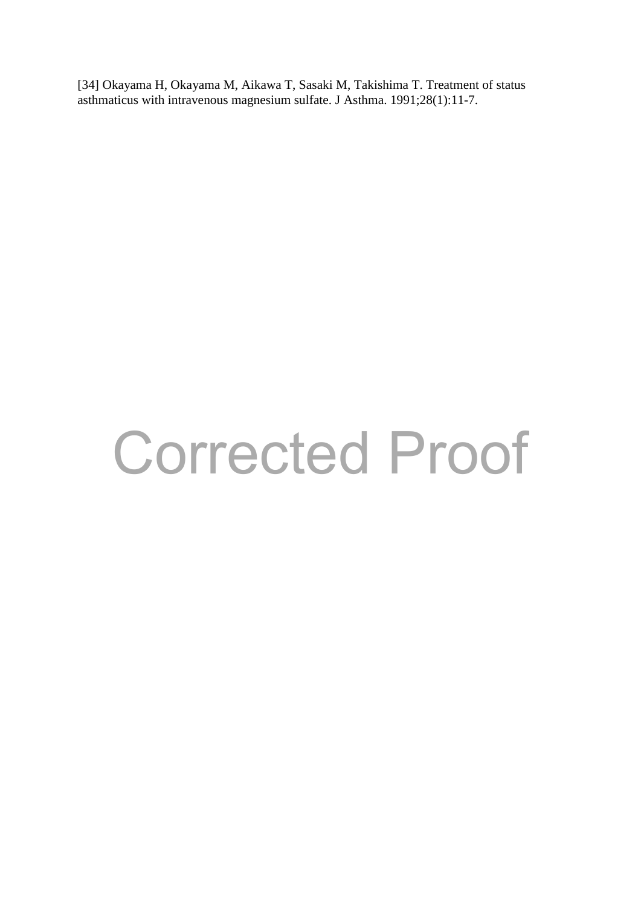[34] Okayama H, Okayama M, Aikawa T, Sasaki M, Takishima T. Treatment of status asthmaticus with intravenous magnesium sulfate. J Asthma. 1991;28(1):11-7.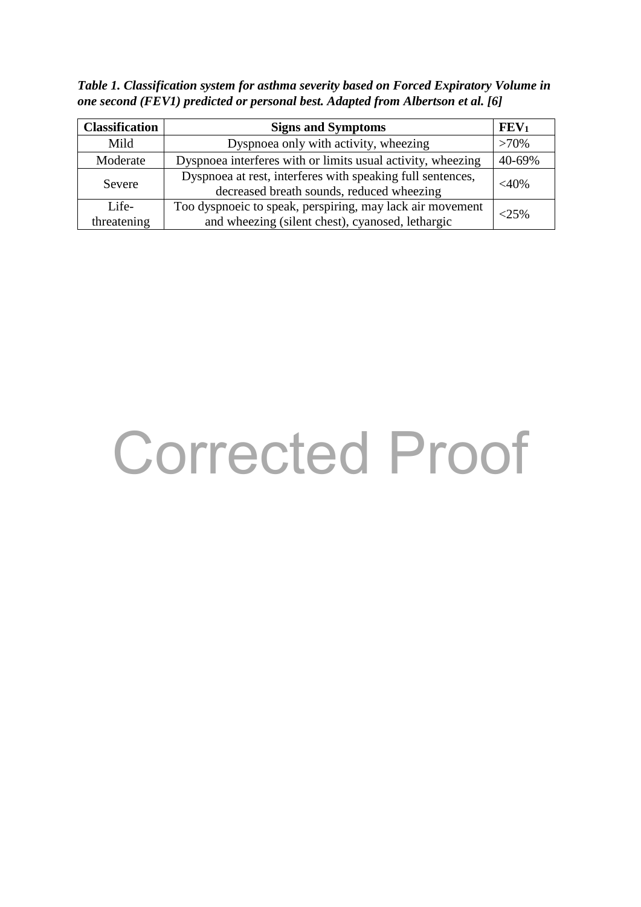*Table 1. Classification system for asthma severity based on Forced Expiratory Volume in one second (FEV1) predicted or personal best. Adapted from Albertson et al. [6]*

| <b>Classification</b> | <b>Signs and Symptoms</b>                                                                                     | FEV <sub>1</sub> |
|-----------------------|---------------------------------------------------------------------------------------------------------------|------------------|
| Mild                  | Dyspnoea only with activity, wheezing                                                                         | $>70\%$          |
| Moderate              | Dyspnoea interferes with or limits usual activity, wheezing                                                   | 40-69%           |
| Severe                | Dyspnoea at rest, interferes with speaking full sentences,<br>decreased breath sounds, reduced wheezing       | $<$ 40%          |
| Life-<br>threatening  | Too dyspnoeic to speak, perspiring, may lack air movement<br>and wheezing (silent chest), cyanosed, lethargic | $<25\%$          |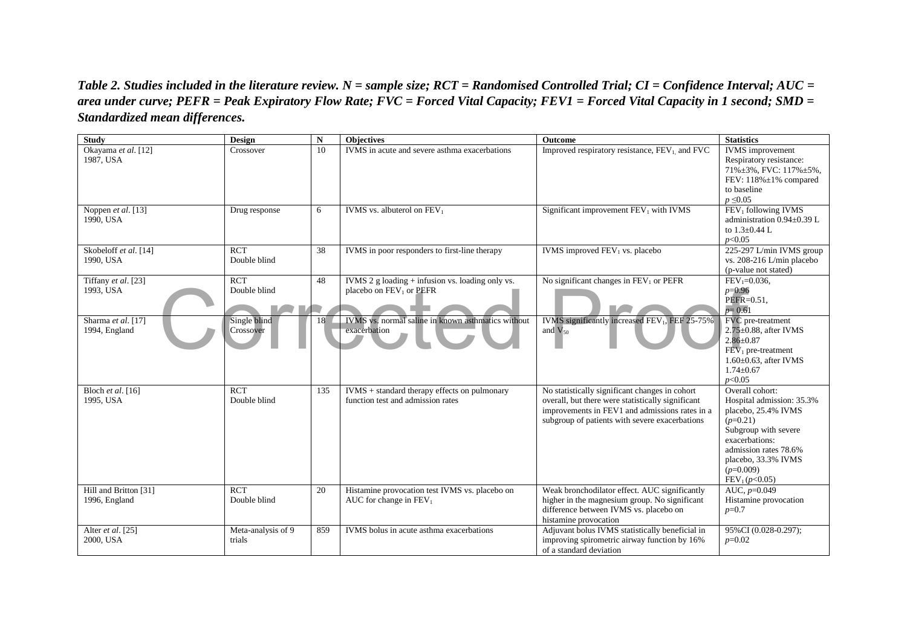*Table 2. Studies included in the literature review. N = sample size; RCT = Randomised Controlled Trial; CI = Confidence Interval; AUC = area under curve; PEFR = Peak Expiratory Flow Rate; FVC = Forced Vital Capacity; FEV1 = Forced Vital Capacity in 1 second; SMD = Standardized mean differences.* 

| <b>Study</b>          | <b>Design</b>      | ${\bf N}$ | <b>Objectives</b>                                  | <b>Outcome</b>                                             | <b>Statistics</b>                               |
|-----------------------|--------------------|-----------|----------------------------------------------------|------------------------------------------------------------|-------------------------------------------------|
| Okayama et al. [12]   | Crossover          | 10        | IVMS in acute and severe asthma exacerbations      | Improved respiratory resistance, FEV <sub>1</sub> and FVC  | <b>IVMS</b> improvement                         |
| 1987, USA             |                    |           |                                                    |                                                            | Respiratory resistance:                         |
|                       |                    |           |                                                    |                                                            | $71\% \pm 3\%$ , FVC: $117\% \pm 5\%$ ,         |
|                       |                    |           |                                                    |                                                            | FEV: 118%±1% compared                           |
|                       |                    |           |                                                    |                                                            | to baseline                                     |
|                       |                    |           |                                                    |                                                            | $p \leq 0.05$                                   |
| Noppen et al. [13]    | Drug response      | 6         | IVMS vs. albuterol on $FEV1$                       | Significant improvement $FEV1$ with IVMS                   | FEV <sub>1</sub> following IVMS                 |
| 1990, USA             |                    |           |                                                    |                                                            | administration 0.94±0.39 L                      |
|                       |                    |           |                                                    |                                                            | to $1.3 \pm 0.44$ L                             |
|                       |                    |           |                                                    |                                                            | p<0.05                                          |
| Skobeloff et al. [14] | <b>RCT</b>         | 38        | IVMS in poor responders to first-line therapy      | IVMS improved FEV <sub>1</sub> vs. placebo                 | 225-297 L/min IVMS group                        |
| 1990. USA             | Double blind       |           |                                                    |                                                            | vs. 208-216 L/min placebo                       |
|                       |                    |           |                                                    |                                                            | (p-value not stated)                            |
| Tiffany et al. [23]   | <b>RCT</b>         | 48        | IVMS $2$ g loading + infusion vs. loading only vs. | No significant changes in $FEV1$ or $PEFR$                 | $FEV_1 = 0.036$ ,                               |
| 1993, USA             | Double blind       |           | placebo on FEV <sub>1</sub> or PEFR                |                                                            | $p=0.96$                                        |
|                       |                    |           |                                                    |                                                            | $PEFR = 0.51$ ,                                 |
|                       |                    |           |                                                    |                                                            | $p=0.61$                                        |
| Sharma et al. [17]    | Single blind       | 18        | IVMS vs. normal saline in known asthmatics without | IVMS significantly increased FEV <sub>1</sub> , FEF 25-75% | FVC pre-treatment                               |
| 1994, England         | Crossover          |           | exacerbation                                       | and $V_{50}$                                               | $2.75 \pm 0.88$ , after IVMS<br>$2.86 \pm 0.87$ |
|                       |                    |           |                                                    |                                                            | $FEV1$ pre-treatment                            |
|                       |                    |           |                                                    |                                                            | $1.60\pm0.63$ , after IVMS                      |
|                       |                    |           |                                                    |                                                            | $1.74 \pm 0.67$                                 |
|                       |                    |           |                                                    |                                                            | p<0.05                                          |
| Bloch et al. [16]     | <b>RCT</b>         | 135       | IVMS + standard therapy effects on pulmonary       | No statistically significant changes in cohort             | Overall cohort:                                 |
| 1995, USA             | Double blind       |           | function test and admission rates                  | overall, but there were statistically significant          | Hospital admission: 35.3%                       |
|                       |                    |           |                                                    | improvements in FEV1 and admissions rates in a             | placebo, 25.4% IVMS                             |
|                       |                    |           |                                                    | subgroup of patients with severe exacerbations             | $(p=0.21)$                                      |
|                       |                    |           |                                                    |                                                            | Subgroup with severe                            |
|                       |                    |           |                                                    |                                                            | exacerbations:                                  |
|                       |                    |           |                                                    |                                                            | admission rates 78.6%                           |
|                       |                    |           |                                                    |                                                            | placebo, 33.3% IVMS                             |
|                       |                    |           |                                                    |                                                            | $(p=0.009)$                                     |
|                       |                    |           |                                                    |                                                            | $FEV_1(p<0.05)$                                 |
| Hill and Britton [31] | <b>RCT</b>         | 20        | Histamine provocation test IVMS vs. placebo on     | Weak bronchodilator effect. AUC significantly              | AUC, $p=0.049$                                  |
| 1996, England         | Double blind       |           | AUC for change in $FEV1$                           | higher in the magnesium group. No significant              | Histamine provocation                           |
|                       |                    |           |                                                    | difference between IVMS vs. placebo on                     | $p=0.7$                                         |
|                       |                    |           |                                                    | histamine provocation                                      |                                                 |
| Alter et al. [25]     | Meta-analysis of 9 | 859       | IVMS bolus in acute asthma exacerbations           | Adjuvant bolus IVMS statistically beneficial in            | 95% CI (0.028-0.297);                           |
| 2000, USA             | trials             |           |                                                    | improving spirometric airway function by 16%               | $p=0.02$                                        |
|                       |                    |           |                                                    | of a standard deviation                                    |                                                 |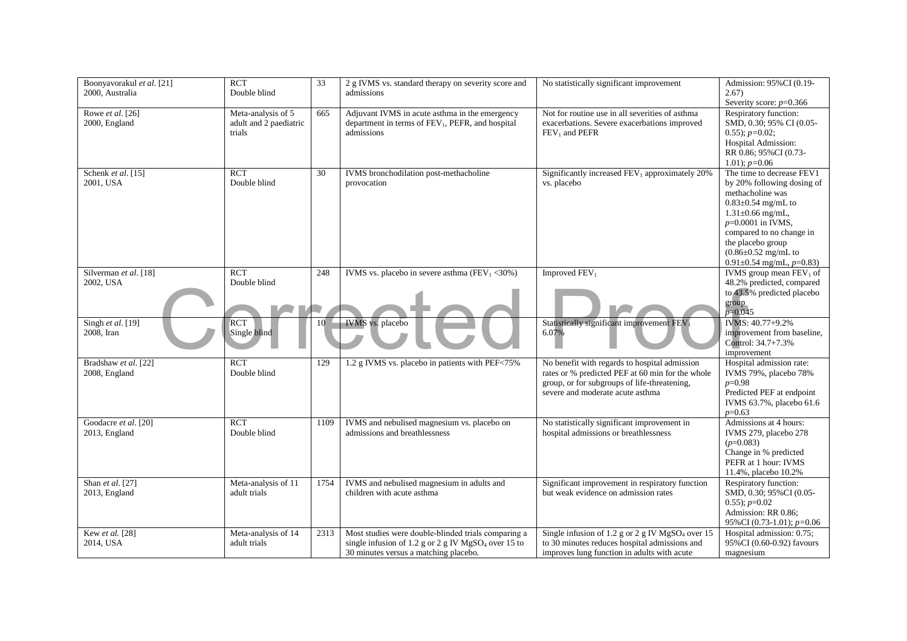| Boonyavorakul et al. [21]<br>2000. Australia | $\overline{RCT}$<br>Double blind                       | 33   | 2 g IVMS vs. standard therapy on severity score and<br>admissions                                                                                               | No statistically significant improvement                                                                                                                                              | Admission: 95% CI (0.19-<br>2.67)                                                                                                                                                                                                                                                   |
|----------------------------------------------|--------------------------------------------------------|------|-----------------------------------------------------------------------------------------------------------------------------------------------------------------|---------------------------------------------------------------------------------------------------------------------------------------------------------------------------------------|-------------------------------------------------------------------------------------------------------------------------------------------------------------------------------------------------------------------------------------------------------------------------------------|
|                                              |                                                        |      |                                                                                                                                                                 |                                                                                                                                                                                       | Severity score: $p=0.366$                                                                                                                                                                                                                                                           |
| Rowe et al. [26]<br>2000, England            | Meta-analysis of 5<br>adult and 2 paediatric<br>trials | 665  | Adjuvant IVMS in acute asthma in the emergency<br>department in terms of FEV <sub>1</sub> , PEFR, and hospital<br>admissions                                    | Not for routine use in all severities of asthma<br>exacerbations. Severe exacerbations improved<br>FEV <sub>1</sub> and PEFR                                                          | <b>Respiratory function:</b><br>SMD, 0.30; 95% CI (0.05-<br>$0.55$ ; $p=0.02$ ;<br>Hospital Admission:<br>RR 0.86; 95%CI (0.73-<br>$1.01$ ; $p=0.06$                                                                                                                                |
| Schenk et al. [15]<br>2001, USA              | <b>RCT</b><br>Double blind                             | 30   | IVMS bronchodilation post-methacholine<br>provocation                                                                                                           | Significantly increased FEV <sub>1</sub> approximately 20%<br>vs. placebo                                                                                                             | The time to decrease FEV1<br>by 20% following dosing of<br>methacholine was<br>$0.83 \pm 0.54$ mg/mL to<br>$1.31 \pm 0.66$ mg/mL,<br>$p=0.0001$ in IVMS,<br>compared to no change in<br>the placebo group<br>$(0.86 \pm 0.52 \text{ mg/mL to}$<br>$0.91 \pm 0.54$ mg/mL, $p=0.83$ ) |
| Silverman et al. [18]<br>2002, USA           | $\overline{RCT}$<br>Double blind                       | 248  | IVMS vs. placebo in severe asthma ( $\overline{\text{FEV}_1}$ <30%)                                                                                             | Improved FEV <sub>1</sub>                                                                                                                                                             | IVMS group mean $FEV1$ of<br>48.2% predicted, compared<br>to 43.5% predicted placebo<br>group<br>$p=0.045$                                                                                                                                                                          |
| Singh et al. [19]<br>2008, Iran              | <b>RCT</b><br>Single blind                             | 10   | IVMS vs. placebo                                                                                                                                                | Statistically significant improvement FEV1<br>6.07%                                                                                                                                   | IVMS: 40.77+9.2%<br>improvement from baseline,<br>Control: 34.7+7.3%<br>improvement                                                                                                                                                                                                 |
| Bradshaw et al. [22]<br>2008, England        | <b>RCT</b><br>Double blind                             | 129  | 1.2 g IVMS vs. placebo in patients with PEF<75%                                                                                                                 | No benefit with regards to hospital admission<br>rates or % predicted PEF at 60 min for the whole<br>group, or for subgroups of life-threatening,<br>severe and moderate acute asthma | Hospital admission rate:<br>IVMS 79%, placebo 78%<br>$p=0.98$<br>Predicted PEF at endpoint<br>IVMS 63.7%, placebo 61.6<br>$p=0.63$                                                                                                                                                  |
| Goodacre et al. [20]<br>2013, England        | $\overline{RCT}$<br>Double blind                       | 1109 | IVMS and nebulised magnesium vs. placebo on<br>admissions and breathlessness                                                                                    | No statistically significant improvement in<br>hospital admissions or breathlessness                                                                                                  | Admissions at 4 hours:<br>IVMS 279, placebo 278<br>$(p=0.083)$<br>Change in % predicted<br>PEFR at 1 hour: IVMS<br>11.4%, placebo 10.2%                                                                                                                                             |
| Shan et al. [27]<br>2013, England            | Meta-analysis of 11<br>adult trials                    | 1754 | IVMS and nebulised magnesium in adults and<br>children with acute asthma                                                                                        | Significant improvement in respiratory function<br>but weak evidence on admission rates                                                                                               | Respiratory function:<br>SMD, 0.30; 95%CI (0.05-<br>$0.55$ ; $p=0.02$<br>Admission: RR 0.86;<br>95% CI (0.73-1.01); p=0.06                                                                                                                                                          |
| Kew et al. [28]<br>2014, USA                 | Meta-analysis of 14<br>adult trials                    | 2313 | Most studies were double-blinded trials comparing a<br>single infusion of 1.2 g or 2 g IV MgSO <sub>4</sub> over 15 to<br>30 minutes versus a matching placebo. | Single infusion of 1.2 g or 2 g IV MgSO <sub>4</sub> over 15<br>to 30 minutes reduces hospital admissions and<br>improves lung function in adults with acute                          | Hospital admission: 0.75;<br>95% CI (0.60-0.92) favours<br>magnesium                                                                                                                                                                                                                |